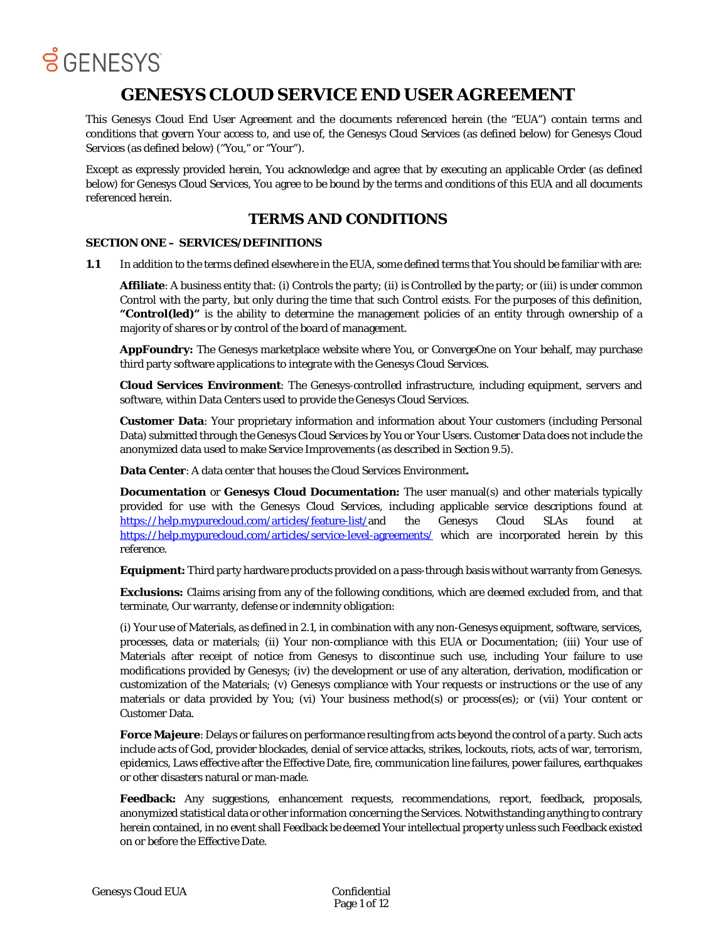

### **GENESYS CLOUD SERVICE END USER AGREEMENT**

This Genesys Cloud End User Agreement and the documents referenced herein (the "EUA") contain terms and conditions that govern Your access to, and use of, the Genesys Cloud Services (as defined below) for Genesys Cloud Services (as defined below) ("You," or "Your").

Except as expressly provided herein, You acknowledge and agree that by executing an applicable Order (as defined below) for Genesys Cloud Services, You agree to be bound by the terms and conditions of this EUA and all documents referenced herein.

### **TERMS AND CONDITIONS**

#### **SECTION ONE – SERVICES/DEFINITIONS**

**1.1** In addition to the terms defined elsewhere in the EUA, some defined terms that You should be familiar with are:

**Affiliate**: A business entity that: (i) Controls the party; (ii) is Controlled by the party; or (iii) is under common Control with the party, but only during the time that such Control exists. For the purposes of this definition, **"Control(led)"** is the ability to determine the management policies of an entity through ownership of a majority of shares or by control of the board of management.

**AppFoundry:** The Genesys marketplace website where You, or ConvergeOne on Your behalf, may purchase third party software applications to integrate with the Genesys Cloud Services.

**Cloud Services Environment**: The Genesys-controlled infrastructure, including equipment, servers and software, within Data Centers used to provide the Genesys Cloud Services.

**Customer Data**: Your proprietary information and information about Your customers (including Personal Data) submitted through the Genesys Cloud Services by You or Your Users. Customer Data does not include the anonymized data used to make Service Improvements (as described in Section 9.5).

**Data Center**: A data center that houses the Cloud Services Environment**.**

**Documentation or Genesys Cloud Documentation:** The user manual(s) and other materials typically provided for use with the Genesys Cloud Services, including applicable service descriptions found at [https://help.mypurecloud.com/articles/feature-list/a](https://help.mypurecloud.com/articles/feature-list/)nd the Genesys Cloud SLAs found a[t](https://help.mypurecloud.com/articles/service-level-agreements/) <https://help.mypurecloud.com/articles/service-level-agreements/> which are incorporated herein by this reference.

**Equipment:** Third party hardware products provided on a pass-through basis without warranty from Genesys.

**Exclusions:** Claims arising from any of the following conditions, which are deemed excluded from, and that terminate, Our warranty, defense or indemnity obligation:

(i) Your use of Materials, as defined in 2.1, in combination with any non-Genesys equipment, software, services, processes, data or materials; (ii) Your non-compliance with this EUA or Documentation; (iii) Your use of Materials after receipt of notice from Genesys to discontinue such use, including Your failure to use modifications provided by Genesys; (iv) the development or use of any alteration, derivation, modification or customization of the Materials; (v) Genesys compliance with Your requests or instructions or the use of any materials or data provided by You; (vi) Your business method(s) or process(es); or (vii) Your content or Customer Data.

**Force Majeure**: Delays or failures on performance resulting from acts beyond the control of a party. Such acts include acts of God, provider blockades, denial of service attacks, strikes, lockouts, riots, acts of war, terrorism, epidemics, Laws effective after the Effective Date, fire, communication line failures, power failures, earthquakes or other disasters natural or man-made.

**Feedback:** Any suggestions, enhancement requests, recommendations, report, feedback, proposals, anonymized statistical data or other information concerning the Services. Notwithstanding anything to contrary herein contained, in no event shall Feedback be deemed Your intellectual property unless such Feedback existed on or before the Effective Date.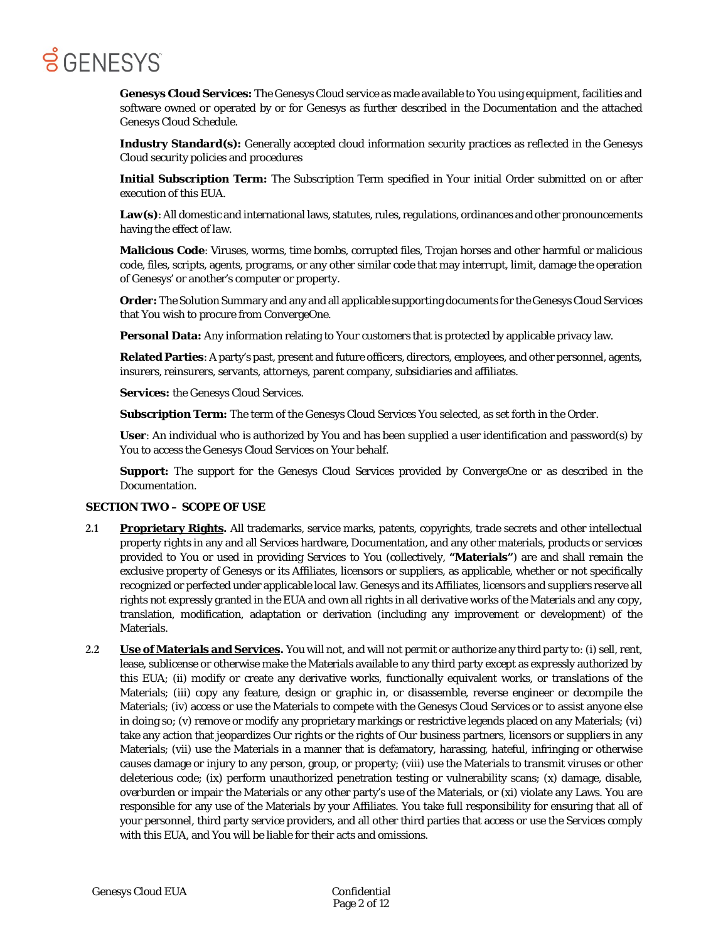**Genesys Cloud Services:** The Genesys Cloud service as made available to You using equipment, facilities and software owned or operated by or for Genesys as further described in the Documentation and the attached Genesys Cloud Schedule.

**Industry Standard(s):** Generally accepted cloud information security practices as reflected in the Genesys Cloud security policies and procedures

**Initial Subscription Term:** The Subscription Term specified in Your initial Order submitted on or after execution of this EUA.

Law(s): All domestic and international laws, statutes, rules, regulations, ordinances and other pronouncements having the effect of law.

**Malicious Code**: Viruses, worms, time bombs, corrupted files, Trojan horses and other harmful or malicious code, files, scripts, agents, programs, or any other similar code that may interrupt, limit, damage the operation of Genesys' or another's computer or property.

**Order:** The Solution Summary and any and all applicable supporting documents for the Genesys Cloud Services that You wish to procure from ConvergeOne.

**Personal Data:** Any information relating to Your customers that is protected by applicable privacy law.

**Related Parties**: A party's past, present and future officers, directors, employees, and other personnel, agents, insurers, reinsurers, servants, attorneys, parent company, subsidiaries and affiliates.

**Services:** the Genesys Cloud Services.

**Subscription Term:** The term of the Genesys Cloud Services You selected, as set forth in the Order.

**User**: An individual who is authorized by You and has been supplied a user identification and password(s) by You to access the Genesys Cloud Services on Your behalf.

**Support:** The support for the Genesys Cloud Services provided by ConvergeOne or as described in the Documentation.

#### **SECTION TWO – SCOPE OF USE**

- **2.1 Proprietary Rights.** All trademarks, service marks, patents, copyrights, trade secrets and other intellectual property rights in any and all Services hardware, Documentation, and any other materials, products or services provided to You or used in providing Services to You (collectively, **"Materials"**) are and shall remain the exclusive property of Genesys or its Affiliates, licensors or suppliers, as applicable, whether or not specifically recognized or perfected under applicable local law. Genesys and its Affiliates, licensors and suppliers reserve all rights not expressly granted in the EUA and own all rights in all derivative works of the Materials and any copy, translation, modification, adaptation or derivation (including any improvement or development) of the Materials.
- **2.2 Use of Materials and Services.** You will not, and will not permit or authorize any third party to: (i) sell, rent, lease, sublicense or otherwise make the Materials available to any third party except as expressly authorized by this EUA; (ii) modify or create any derivative works, functionally equivalent works, or translations of the Materials; (iii) copy any feature, design or graphic in, or disassemble, reverse engineer or decompile the Materials; (iv) access or use the Materials to compete with the Genesys Cloud Services or to assist anyone else in doing so; (v) remove or modify any proprietary markings or restrictive legends placed on any Materials; (vi) take any action that jeopardizes Our rights or the rights of Our business partners, licensors or suppliers in any Materials; (vii) use the Materials in a manner that is defamatory, harassing, hateful, infringing or otherwise causes damage or injury to any person, group, or property; (viii) use the Materials to transmit viruses or other deleterious code; (ix) perform unauthorized penetration testing or vulnerability scans; (x) damage, disable, overburden or impair the Materials or any other party's use of the Materials, or (xi) violate any Laws. You are responsible for any use of the Materials by your Affiliates. You take full responsibility for ensuring that all of your personnel, third party service providers, and all other third parties that access or use the Services comply with this EUA, and You will be liable for their acts and omissions.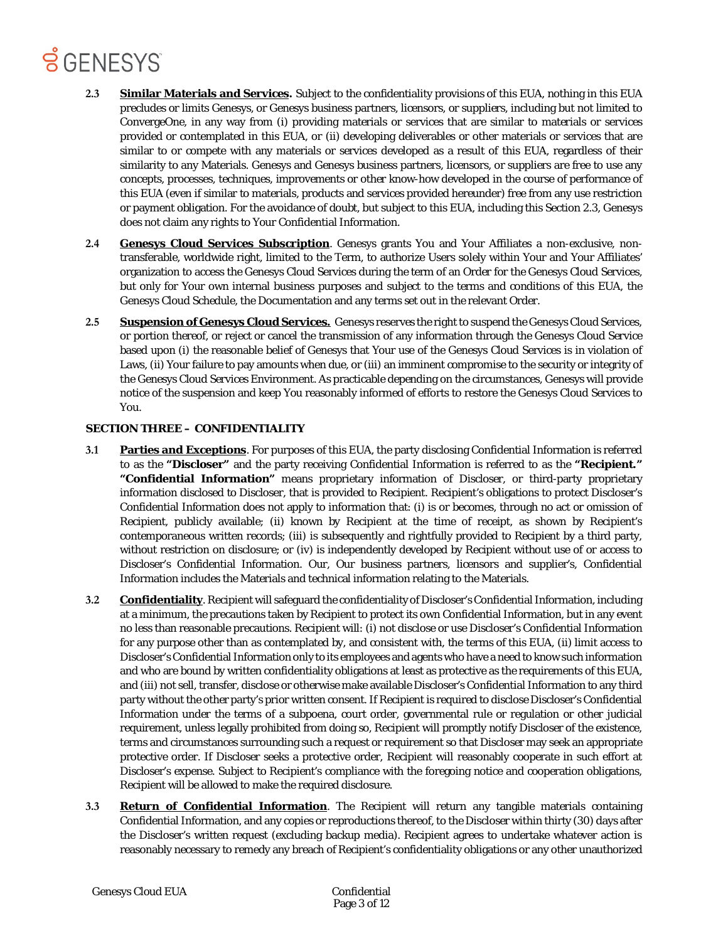- **2.3 Similar Materials and Services.** Subject to the confidentiality provisions of this EUA, nothing in this EUA precludes or limits Genesys, or Genesys business partners, licensors, or suppliers, including but not limited to ConvergeOne, in any way from (i) providing materials or services that are similar to materials or services provided or contemplated in this EUA, or (ii) developing deliverables or other materials or services that are similar to or compete with any materials or services developed as a result of this EUA, regardless of their similarity to any Materials. Genesys and Genesys business partners, licensors, or suppliers are free to use any concepts, processes, techniques, improvements or other know-how developed in the course of performance of this EUA (even if similar to materials, products and services provided hereunder) free from any use restriction or payment obligation. For the avoidance of doubt, but subject to this EUA, including this Section 2.3, Genesys does not claim any rights to Your Confidential Information.
- **2.4 Genesys Cloud Services Subscription**. Genesys grants You and Your Affiliates a non-exclusive, nontransferable, worldwide right, limited to the Term, to authorize Users solely within Your and Your Affiliates' organization to access the Genesys Cloud Services during the term of an Order for the Genesys Cloud Services, but only for Your own internal business purposes and subject to the terms and conditions of this EUA, the Genesys Cloud Schedule, the Documentation and any terms set out in the relevant Order.
- **2.5 Suspension of Genesys Cloud Services.** Genesys reserves the right to suspend the Genesys Cloud Services, or portion thereof, or reject or cancel the transmission of any information through the Genesys Cloud Service based upon (i) the reasonable belief of Genesys that Your use of the Genesys Cloud Services is in violation of Laws, (ii) Your failure to pay amounts when due, or (iii) an imminent compromise to the security or integrity of the Genesys Cloud Services Environment. As practicable depending on the circumstances, Genesys will provide notice of the suspension and keep You reasonably informed of efforts to restore the Genesys Cloud Services to You.

#### **SECTION THREE – CONFIDENTIALITY**

- **3.1 Parties and Exceptions**. For purposes of this EUA, the party disclosing Confidential Information is referred to as the **"Discloser"** and the party receiving Confidential Information is referred to as the **"Recipient." "Confidential Information"** means proprietary information of Discloser, or third-party proprietary information disclosed to Discloser, that is provided to Recipient. Recipient's obligations to protect Discloser's Confidential Information does not apply to information that: (i) is or becomes, through no act or omission of Recipient, publicly available; (ii) known by Recipient at the time of receipt, as shown by Recipient's contemporaneous written records; (iii) is subsequently and rightfully provided to Recipient by a third party, without restriction on disclosure; or (iv) is independently developed by Recipient without use of or access to Discloser's Confidential Information. Our, Our business partners, licensors and supplier's, Confidential Information includes the Materials and technical information relating to the Materials.
- **3.2 Confidentiality**. Recipient will safeguard the confidentiality of Discloser's Confidential Information, including at a minimum, the precautions taken by Recipient to protect its own Confidential Information, but in any event no less than reasonable precautions. Recipient will: (i) not disclose or use Discloser's Confidential Information for any purpose other than as contemplated by, and consistent with, the terms of this EUA, (ii) limit access to Discloser's Confidential Information only to its employees and agents who have a need to know such information and who are bound by written confidentiality obligations at least as protective as the requirements of this EUA, and (iii) not sell, transfer, disclose or otherwise make available Discloser's Confidential Information to any third party without the other party's prior written consent. If Recipient is required to disclose Discloser's Confidential Information under the terms of a subpoena, court order, governmental rule or regulation or other judicial requirement, unless legally prohibited from doing so, Recipient will promptly notify Discloser of the existence, terms and circumstances surrounding such a request or requirement so that Discloser may seek an appropriate protective order. If Discloser seeks a protective order, Recipient will reasonably cooperate in such effort at Discloser's expense. Subject to Recipient's compliance with the foregoing notice and cooperation obligations, Recipient will be allowed to make the required disclosure.
- **3.3 Return of Confidential Information**. The Recipient will return any tangible materials containing Confidential Information, and any copies or reproductions thereof, to the Discloser within thirty (30) days after the Discloser's written request (excluding backup media). Recipient agrees to undertake whatever action is reasonably necessary to remedy any breach of Recipient's confidentiality obligations or any other unauthorized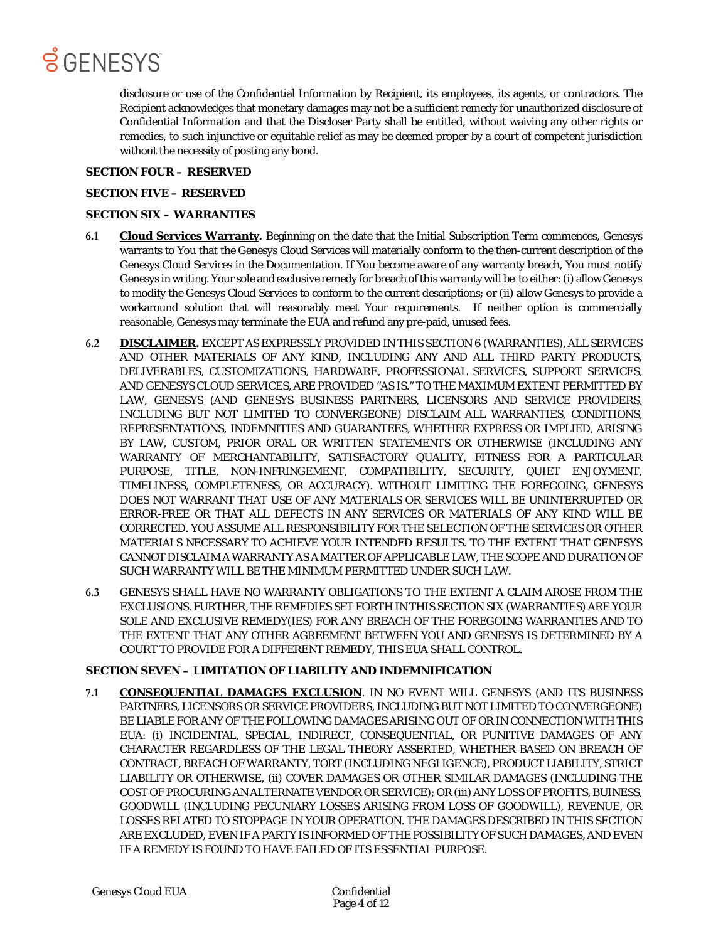

disclosure or use of the Confidential Information by Recipient, its employees, its agents, or contractors. The Recipient acknowledges that monetary damages may not be a sufficient remedy for unauthorized disclosure of Confidential Information and that the Discloser Party shall be entitled, without waiving any other rights or remedies, to such injunctive or equitable relief as may be deemed proper by a court of competent jurisdiction without the necessity of posting any bond.

#### **SECTION FOUR – RESERVED**

#### **SECTION FIVE – RESERVED**

#### **SECTION SIX – WARRANTIES**

- **6.1 Cloud Services Warranty.** Beginning on the date that the Initial Subscription Term commences, Genesys warrants to You that the Genesys Cloud Services will materially conform to the then-current description of the Genesys Cloud Services in the Documentation. If You become aware of any warranty breach, You must notify Genesys in writing. Your sole and exclusive remedy for breach of this warranty will be to either: (i) allow Genesys to modify the Genesys Cloud Services to conform to the current descriptions; or (ii) allow Genesys to provide a workaround solution that will reasonably meet Your requirements. If neither option is commercially reasonable, Genesys may terminate the EUA and refund any pre-paid, unused fees.
- **6.2 DISCLAIMER.** EXCEPT AS EXPRESSLY PROVIDED IN THIS SECTION 6 (WARRANTIES), ALL SERVICES AND OTHER MATERIALS OF ANY KIND, INCLUDING ANY AND ALL THIRD PARTY PRODUCTS, DELIVERABLES, CUSTOMIZATIONS, HARDWARE, PROFESSIONAL SERVICES, SUPPORT SERVICES, AND GENESYS CLOUD SERVICES, ARE PROVIDED "AS IS." TO THE MAXIMUM EXTENT PERMITTED BY LAW, GENESYS (AND GENESYS BUSINESS PARTNERS, LICENSORS AND SERVICE PROVIDERS, INCLUDING BUT NOT LIMITED TO CONVERGEONE) DISCLAIM ALL WARRANTIES, CONDITIONS, REPRESENTATIONS, INDEMNITIES AND GUARANTEES, WHETHER EXPRESS OR IMPLIED, ARISING BY LAW, CUSTOM, PRIOR ORAL OR WRITTEN STATEMENTS OR OTHERWISE (INCLUDING ANY WARRANTY OF MERCHANTABILITY, SATISFACTORY QUALITY, FITNESS FOR A PARTICULAR PURPOSE, TITLE, NON-INFRINGEMENT, COMPATIBILITY, SECURITY, QUIET ENJOYMENT, TIMELINESS, COMPLETENESS, OR ACCURACY). WITHOUT LIMITING THE FOREGOING, GENESYS DOES NOT WARRANT THAT USE OF ANY MATERIALS OR SERVICES WILL BE UNINTERRUPTED OR ERROR-FREE OR THAT ALL DEFECTS IN ANY SERVICES OR MATERIALS OF ANY KIND WILL BE CORRECTED. YOU ASSUME ALL RESPONSIBILITY FOR THE SELECTION OF THE SERVICES OR OTHER MATERIALS NECESSARY TO ACHIEVE YOUR INTENDED RESULTS. TO THE EXTENT THAT GENESYS CANNOT DISCLAIM A WARRANTY AS A MATTER OF APPLICABLE LAW, THE SCOPE AND DURATION OF SUCH WARRANTY WILL BE THE MINIMUM PERMITTED UNDER SUCH LAW.
- **6.3** GENESYS SHALL HAVE NO WARRANTY OBLIGATIONS TO THE EXTENT A CLAIM AROSE FROM THE EXCLUSIONS. FURTHER, THE REMEDIES SET FORTH IN THIS SECTION SIX (WARRANTIES) ARE YOUR SOLE AND EXCLUSIVE REMEDY(IES) FOR ANY BREACH OF THE FOREGOING WARRANTIES AND TO THE EXTENT THAT ANY OTHER AGREEMENT BETWEEN YOU AND GENESYS IS DETERMINED BY A COURT TO PROVIDE FOR A DIFFERENT REMEDY, THIS EUA SHALL CONTROL.

#### **SECTION SEVEN – LIMITATION OF LIABILITY AND INDEMNIFICATION**

**7.1 CONSEQUENTIAL DAMAGES EXCLUSION**. IN NO EVENT WILL GENESYS (AND ITS BUSINESS PARTNERS, LICENSORS OR SERVICE PROVIDERS, INCLUDING BUT NOT LIMITED TO CONVERGEONE) BE LIABLE FOR ANY OF THE FOLLOWING DAMAGES ARISING OUT OF OR IN CONNECTION WITH THIS EUA: (i) INCIDENTAL, SPECIAL, INDIRECT, CONSEQUENTIAL, OR PUNITIVE DAMAGES OF ANY CHARACTER REGARDLESS OF THE LEGAL THEORY ASSERTED, WHETHER BASED ON BREACH OF CONTRACT, BREACH OF WARRANTY, TORT (INCLUDING NEGLIGENCE), PRODUCT LIABILITY, STRICT LIABILITY OR OTHERWISE, (ii) COVER DAMAGES OR OTHER SIMILAR DAMAGES (INCLUDING THE COST OF PROCURING AN ALTERNATE VENDOR OR SERVICE); OR (iii) ANY LOSS OF PROFITS, BUINESS, GOODWILL (INCLUDING PECUNIARY LOSSES ARISING FROM LOSS OF GOODWILL), REVENUE, OR LOSSES RELATED TO STOPPAGE IN YOUR OPERATION. THE DAMAGES DESCRIBED IN THIS SECTION ARE EXCLUDED, EVEN IF A PARTY IS INFORMED OF THE POSSIBILITY OF SUCH DAMAGES, AND EVEN IF A REMEDY IS FOUND TO HAVE FAILED OF ITS ESSENTIAL PURPOSE.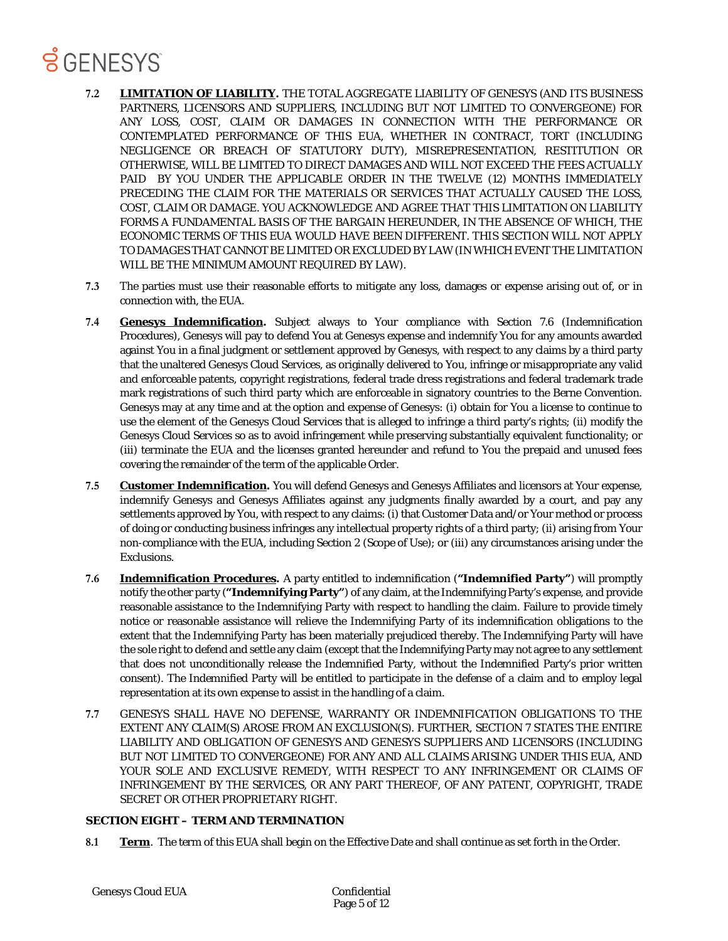# **B** GENESYS

- **7.2 LIMITATION OF LIABILITY.** THE TOTAL AGGREGATE LIABILITY OF GENESYS (AND ITS BUSINESS PARTNERS, LICENSORS AND SUPPLIERS, INCLUDING BUT NOT LIMITED TO CONVERGEONE) FOR ANY LOSS, COST, CLAIM OR DAMAGES IN CONNECTION WITH THE PERFORMANCE OR CONTEMPLATED PERFORMANCE OF THIS EUA, WHETHER IN CONTRACT, TORT (INCLUDING NEGLIGENCE OR BREACH OF STATUTORY DUTY), MISREPRESENTATION, RESTITUTION OR OTHERWISE, WILL BE LIMITED TO DIRECT DAMAGES AND WILL NOT EXCEED THE FEES ACTUALLY PAID BY YOU UNDER THE APPLICABLE ORDER IN THE TWELVE (12) MONTHS IMMEDIATELY PRECEDING THE CLAIM FOR THE MATERIALS OR SERVICES THAT ACTUALLY CAUSED THE LOSS, COST, CLAIM OR DAMAGE. YOU ACKNOWLEDGE AND AGREE THAT THIS LIMITATION ON LIABILITY FORMS A FUNDAMENTAL BASIS OF THE BARGAIN HEREUNDER, IN THE ABSENCE OF WHICH, THE ECONOMIC TERMS OF THIS EUA WOULD HAVE BEEN DIFFERENT. THIS SECTION WILL NOT APPLY TO DAMAGES THAT CANNOT BE LIMITED OR EXCLUDED BY LAW (IN WHICH EVENT THE LIMITATION WILL BE THE MINIMUM AMOUNT REQUIRED BY LAW).
- **7.3** The parties must use their reasonable efforts to mitigate any loss, damages or expense arising out of, or in connection with, the EUA.
- **7.4 Genesys Indemnification.** Subject always to Your compliance with Section 7.6 (Indemnification Procedures), Genesys will pay to defend You at Genesys expense and indemnify You for any amounts awarded against You in a final judgment or settlement approved by Genesys, with respect to any claims by a third party that the unaltered Genesys Cloud Services, as originally delivered to You, infringe or misappropriate any valid and enforceable patents, copyright registrations, federal trade dress registrations and federal trademark trade mark registrations of such third party which are enforceable in signatory countries to the Berne Convention. Genesys may at any time and at the option and expense of Genesys: (i) obtain for You a license to continue to use the element of the Genesys Cloud Services that is alleged to infringe a third party's rights; (ii) modify the Genesys Cloud Services so as to avoid infringement while preserving substantially equivalent functionality; or (iii) terminate the EUA and the licenses granted hereunder and refund to You the prepaid and unused fees covering the remainder of the term of the applicable Order.
- **7.5 Customer Indemnification.** You will defend Genesys and Genesys Affiliates and licensors at Your expense, indemnify Genesys and Genesys Affiliates against any judgments finally awarded by a court, and pay any settlements approved by You, with respect to any claims: (i) that Customer Data and/or Your method or process of doing or conducting business infringes any intellectual property rights of a third party; (ii) arising from Your non-compliance with the EUA, including Section 2 (Scope of Use); or (iii) any circumstances arising under the Exclusions.
- **7.6 Indemnification Procedures.** A party entitled to indemnification (**"Indemnified Party"**) will promptly notify the other party (**"Indemnifying Party"**) of any claim, at the Indemnifying Party's expense, and provide reasonable assistance to the Indemnifying Party with respect to handling the claim. Failure to provide timely notice or reasonable assistance will relieve the Indemnifying Party of its indemnification obligations to the extent that the Indemnifying Party has been materially prejudiced thereby. The Indemnifying Party will have the sole right to defend and settle any claim (except that the Indemnifying Party may not agree to any settlement that does not unconditionally release the Indemnified Party, without the Indemnified Party's prior written consent). The Indemnified Party will be entitled to participate in the defense of a claim and to employ legal representation at its own expense to assist in the handling of a claim.
- **7.7** GENESYS SHALL HAVE NO DEFENSE, WARRANTY OR INDEMNIFICATION OBLIGATIONS TO THE EXTENT ANY CLAIM(S) AROSE FROM AN EXCLUSION(S). FURTHER, SECTION 7 STATES THE ENTIRE LIABILITY AND OBLIGATION OF GENESYS AND GENESYS SUPPLIERS AND LICENSORS (INCLUDING BUT NOT LIMITED TO CONVERGEONE) FOR ANY AND ALL CLAIMS ARISING UNDER THIS EUA, AND YOUR SOLE AND EXCLUSIVE REMEDY, WITH RESPECT TO ANY INFRINGEMENT OR CLAIMS OF INFRINGEMENT BY THE SERVICES, OR ANY PART THEREOF, OF ANY PATENT, COPYRIGHT, TRADE SECRET OR OTHER PROPRIETARY RIGHT.

#### **SECTION EIGHT – TERM AND TERMINATION**

**8.1 Term**. The term of this EUA shall begin on the Effective Date and shall continue as set forth in the Order.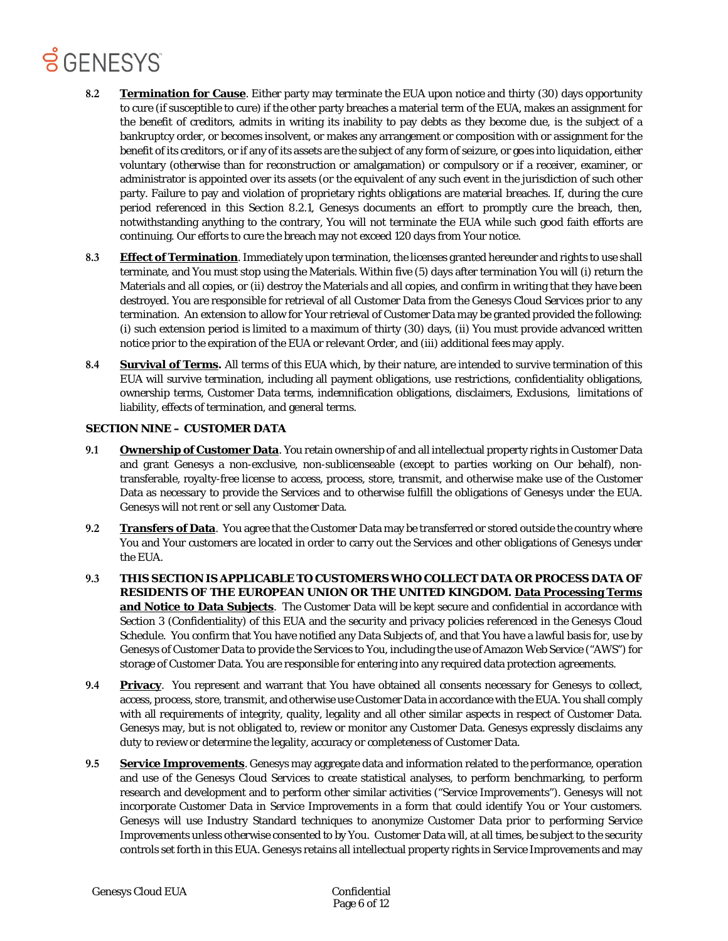- **8.2 Termination for Cause**. Either party may terminate the EUA upon notice and thirty (30) days opportunity to cure (if susceptible to cure) if the other party breaches a material term of the EUA, makes an assignment for the benefit of creditors, admits in writing its inability to pay debts as they become due, is the subject of a bankruptcy order, or becomes insolvent, or makes any arrangement or composition with or assignment for the benefit of its creditors, or if any of its assets are the subject of any form of seizure, or goes into liquidation, either voluntary (otherwise than for reconstruction or amalgamation) or compulsory or if a receiver, examiner, or administrator is appointed over its assets (or the equivalent of any such event in the jurisdiction of such other party. Failure to pay and violation of proprietary rights obligations are material breaches. If, during the cure period referenced in this Section 8.2.1, Genesys documents an effort to promptly cure the breach, then, notwithstanding anything to the contrary, You will not terminate the EUA while such good faith efforts are continuing. Our efforts to cure the breach may not exceed 120 days from Your notice.
- **8.3 Effect of Termination**. Immediately upon termination, the licenses granted hereunder and rights to use shall terminate, and You must stop using the Materials. Within five (5) days after termination You will (i) return the Materials and all copies, or (ii) destroy the Materials and all copies, and confirm in writing that they have been destroyed. You are responsible for retrieval of all Customer Data from the Genesys Cloud Services prior to any termination. An extension to allow for Your retrieval of Customer Data may be granted provided the following: (i) such extension period is limited to a maximum of thirty (30) days, (ii) You must provide advanced written notice prior to the expiration of the EUA or relevant Order, and (iii) additional fees may apply.
- **8.4 Survival of Terms.** All terms of this EUA which, by their nature, are intended to survive termination of this EUA will survive termination, including all payment obligations, use restrictions, confidentiality obligations, ownership terms, Customer Data terms, indemnification obligations, disclaimers, Exclusions, limitations of liability, effects of termination, and general terms.

#### **SECTION NINE – CUSTOMER DATA**

- **9.1 Ownership of Customer Data**. You retain ownership of and all intellectual property rights in Customer Data and grant Genesys a non-exclusive, non-sublicenseable (except to parties working on Our behalf), nontransferable, royalty-free license to access, process, store, transmit, and otherwise make use of the Customer Data as necessary to provide the Services and to otherwise fulfill the obligations of Genesys under the EUA. Genesys will not rent or sell any Customer Data.
- **9.2 Transfers of Data**. You agree that the Customer Data may be transferred or stored outside the country where You and Your customers are located in order to carry out the Services and other obligations of Genesys under the EUA.
- **9.3 THIS SECTION IS APPLICABLE TO CUSTOMERS WHO COLLECT DATA OR PROCESS DATA OF RESIDENTS OF THE EUROPEAN UNION OR THE UNITED KINGDOM. Data Processing Terms and Notice to Data Subjects**. The Customer Data will be kept secure and confidential in accordance with Section 3 (Confidentiality) of this EUA and the security and privacy policies referenced in the Genesys Cloud Schedule. You confirm that You have notified any Data Subjects of, and that You have a lawful basis for, use by Genesys of Customer Data to provide the Services to You, including the use of Amazon Web Service ("AWS") for storage of Customer Data. You are responsible for entering into any required data protection agreements.
- **9.4 Privacy**. You represent and warrant that You have obtained all consents necessary for Genesys to collect, access, process, store, transmit, and otherwise use Customer Data in accordance with the EUA. You shall comply with all requirements of integrity, quality, legality and all other similar aspects in respect of Customer Data. Genesys may, but is not obligated to, review or monitor any Customer Data. Genesys expressly disclaims any duty to review or determine the legality, accuracy or completeness of Customer Data.
- **9.5 Service Improvements**. Genesys may aggregate data and information related to the performance, operation and use of the Genesys Cloud Services to create statistical analyses, to perform benchmarking, to perform research and development and to perform other similar activities ("Service Improvements"). Genesys will not incorporate Customer Data in Service Improvements in a form that could identify You or Your customers. Genesys will use Industry Standard techniques to anonymize Customer Data prior to performing Service Improvements unless otherwise consented to by You. Customer Data will, at all times, be subject to the security controls set forth in this EUA. Genesys retains all intellectual property rights in Service Improvements and may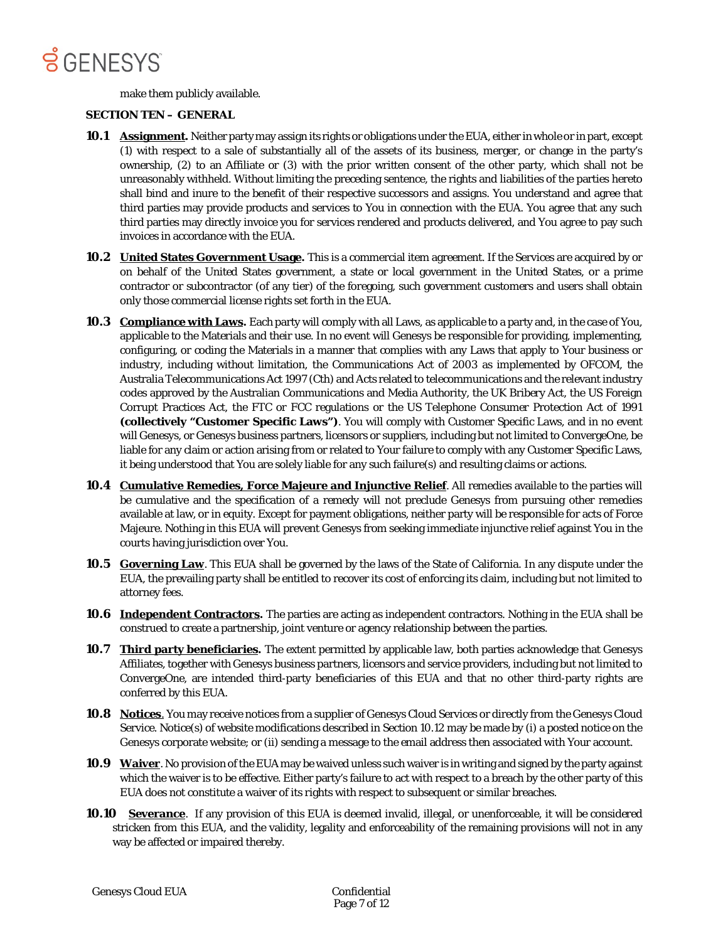

make them publicly available.

#### **SECTION TEN – GENERAL**

- **10.1 Assignment.** Neither party may assign its rights or obligations under the EUA, either in whole or in part, except (1) with respect to a sale of substantially all of the assets of its business, merger, or change in the party's ownership, (2) to an Affiliate or (3) with the prior written consent of the other party, which shall not be unreasonably withheld. Without limiting the preceding sentence, the rights and liabilities of the parties hereto shall bind and inure to the benefit of their respective successors and assigns. You understand and agree that third parties may provide products and services to You in connection with the EUA. You agree that any such third parties may directly invoice you for services rendered and products delivered, and You agree to pay such invoices in accordance with the EUA.
- **10.2 United States Government Usage.** This is a commercial item agreement. If the Services are acquired by or on behalf of the United States government, a state or local government in the United States, or a prime contractor or subcontractor (of any tier) of the foregoing, such government customers and users shall obtain only those commercial license rights set forth in the EUA.
- **10.3 Compliance with Laws.** Each party will comply with all Laws, as applicable to a party and, in the case of You, applicable to the Materials and their use. In no event will Genesys be responsible for providing, implementing, configuring, or coding the Materials in a manner that complies with any Laws that apply to Your business or industry, including without limitation, the Communications Act of 2003 as implemented by OFCOM, the Australia Telecommunications Act 1997 (Cth) and Acts related to telecommunications and the relevant industry codes approved by the Australian Communications and Media Authority, the UK Bribery Act, the US Foreign Corrupt Practices Act, the FTC or FCC regulations or the US Telephone Consumer Protection Act of 1991 **(collectively "Customer Specific Laws")**. You will comply with Customer Specific Laws, and in no event will Genesys, or Genesys business partners, licensors or suppliers, including but not limited to ConvergeOne, be liable for any claim or action arising from or related to Your failure to comply with any Customer Specific Laws, it being understood that You are solely liable for any such failure(s) and resulting claims or actions.
- **10.4 Cumulative Remedies, Force Majeure and Injunctive Relief**. All remedies available to the parties will be cumulative and the specification of a remedy will not preclude Genesys from pursuing other remedies available at law, or in equity. Except for payment obligations, neither party will be responsible for acts of Force Majeure. Nothing in this EUA will prevent Genesys from seeking immediate injunctive relief against You in the courts having jurisdiction over You.
- **10.5 Governing Law**. This EUA shall be governed by the laws of the State of California. In any dispute under the EUA, the prevailing party shall be entitled to recover its cost of enforcing its claim, including but not limited to attorney fees.
- **10.6 Independent Contractors.** The parties are acting as independent contractors. Nothing in the EUA shall be construed to create a partnership, joint venture or agency relationship between the parties.
- **10.7 Third party beneficiaries.** The extent permitted by applicable law, both parties acknowledge that Genesys Affiliates, together with Genesys business partners, licensors and service providers, including but not limited to ConvergeOne, are intended third-party beneficiaries of this EUA and that no other third-party rights are conferred by this EUA.
- **10.8 Notices**. You may receive notices from a supplier of Genesys Cloud Services or directly from the Genesys Cloud Service. Notice(s) of website modifications described in Section 10.12 may be made by (i) a posted notice on the Genesys corporate website; or (ii) sending a message to the email address then associated with Your account.
- **10.9 Waiver**. No provision of the EUA may be waived unless such waiver is in writing and signed by the party against which the waiver is to be effective. Either party's failure to act with respect to a breach by the other party of this EUA does not constitute a waiver of its rights with respect to subsequent or similar breaches.
- **10.10 Severance**. If any provision of this EUA is deemed invalid, illegal, or unenforceable, it will be considered stricken from this EUA, and the validity, legality and enforceability of the remaining provisions will not in any way be affected or impaired thereby.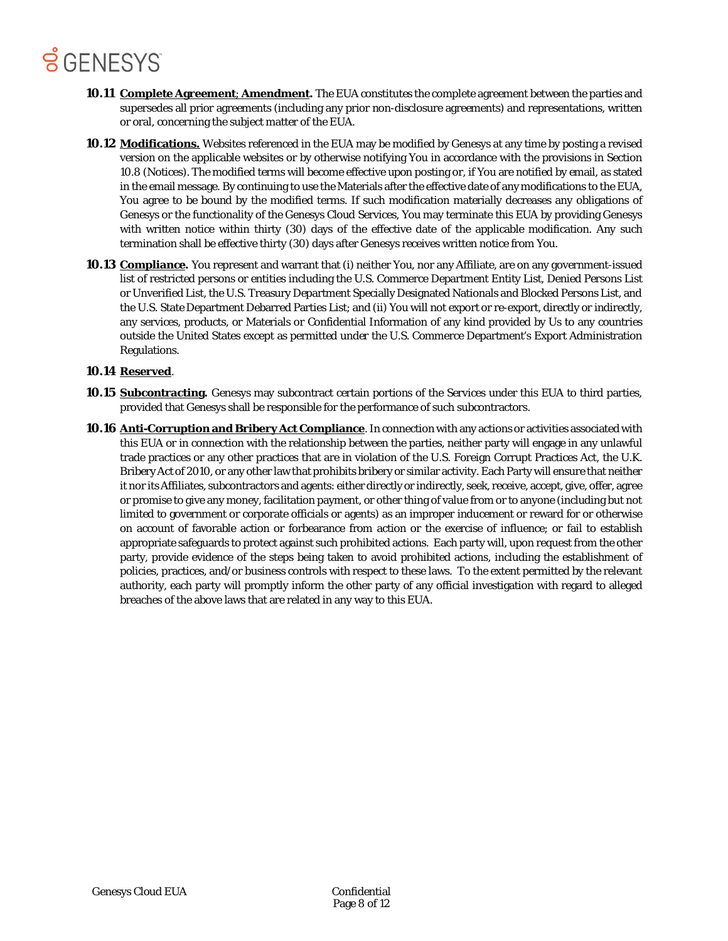- **10.11 Complete Agreement**; **Amendment.** The EUA constitutes the complete agreement between the parties and supersedes all prior agreements (including any prior non-disclosure agreements) and representations, written or oral, concerning the subject matter of the EUA.
- **10.12 Modifications.** Websites referenced in the EUA may be modified by Genesys at any time by posting a revised version on the applicable websites or by otherwise notifying You in accordance with the provisions in Section 10.8 (Notices). The modified terms will become effective upon posting or, if You are notified by email, as stated in the email message. By continuing to use the Materials after the effective date of any modifications to the EUA, You agree to be bound by the modified terms. If such modification materially decreases any obligations of Genesys or the functionality of the Genesys Cloud Services, You may terminate this EUA by providing Genesys with written notice within thirty (30) days of the effective date of the applicable modification. Any such termination shall be effective thirty (30) days after Genesys receives written notice from You.
- **10.13 Compliance.** You represent and warrant that (i) neither You, nor any Affiliate, are on any government-issued list of restricted persons or entities including the U.S. Commerce Department Entity List, Denied Persons List or Unverified List, the U.S. Treasury Department Specially Designated Nationals and Blocked Persons List, and the U.S. State Department Debarred Parties List; and (ii) You will not export or re-export, directly or indirectly, any services, products, or Materials or Confidential Information of any kind provided by Us to any countries outside the United States except as permitted under the U.S. Commerce Department's Export Administration Regulations.

#### **10.14 Reserved**.

- **10.15 Subcontracting.** Genesys may subcontract certain portions of the Services under this EUA to third parties, provided that Genesys shall be responsible for the performance of such subcontractors.
- **10.16 Anti-Corruption and Bribery Act Compliance**. In connection with any actions or activities associated with this EUA or in connection with the relationship between the parties, neither party will engage in any unlawful trade practices or any other practices that are in violation of the U.S. Foreign Corrupt Practices Act, the U.K. Bribery Act of 2010, or any other law that prohibits bribery or similar activity. Each Party will ensure that neither it nor its Affiliates, subcontractors and agents: either directly or indirectly, seek, receive, accept, give, offer, agree or promise to give any money, facilitation payment, or other thing of value from or to anyone (including but not limited to government or corporate officials or agents) as an improper inducement or reward for or otherwise on account of favorable action or forbearance from action or the exercise of influence; or fail to establish appropriate safeguards to protect against such prohibited actions. Each party will, upon request from the other party, provide evidence of the steps being taken to avoid prohibited actions, including the establishment of policies, practices, and/or business controls with respect to these laws. To the extent permitted by the relevant authority, each party will promptly inform the other party of any official investigation with regard to alleged breaches of the above laws that are related in any way to this EUA.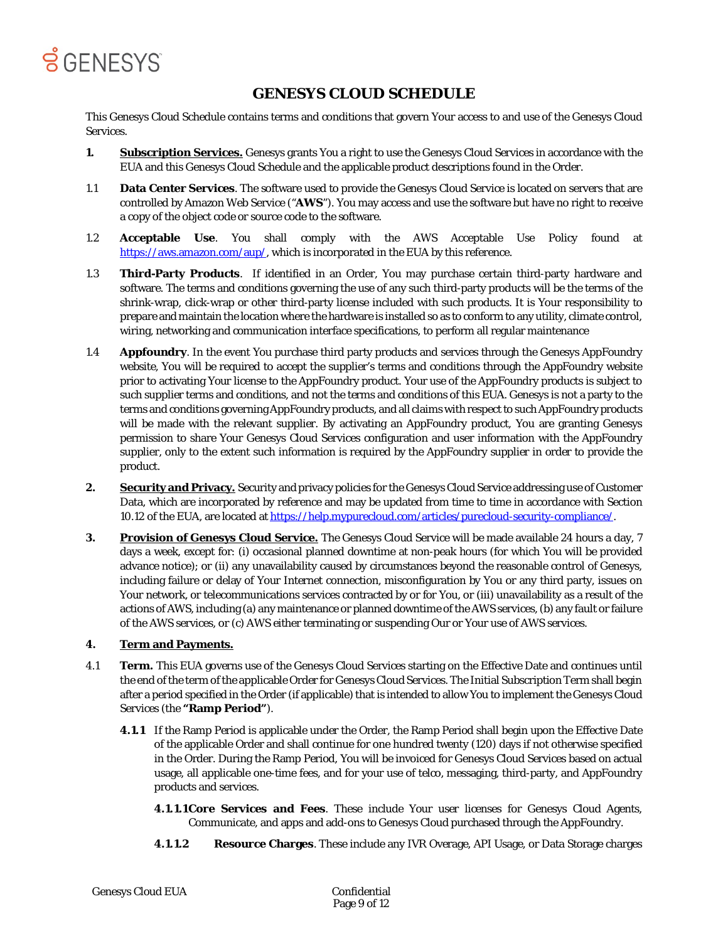

### **GENESYS CLOUD SCHEDULE**

This Genesys Cloud Schedule contains terms and conditions that govern Your access to and use of the Genesys Cloud Services.

- **1. Subscription Services.** Genesys grants You a right to use the Genesys Cloud Services in accordance with the EUA and this Genesys Cloud Schedule and the applicable product descriptions found in the Order.
- 1.1 **Data Center Services**. The software used to provide the Genesys Cloud Service is located on servers that are controlled by Amazon Web Service ("**AWS**"). You may access and use the software but have no right to receive a copy of the object code or source code to the software.
- 1.2 **Acceptable Use**. You shall comply with the AWS Acceptable Use Policy found at [https://aws.amazon.com/aup/, w](https://aws.amazon.com/aup/)hich is incorporated in the EUA by this reference.
- 1.3 **Third-Party Products**. If identified in an Order, You may purchase certain third-party hardware and software. The terms and conditions governing the use of any such third-party products will be the terms of the shrink-wrap, click-wrap or other third-party license included with such products. It is Your responsibility to prepare and maintain the location where the hardware is installed so as to conform to any utility, climate control, wiring, networking and communication interface specifications, to perform all regular maintenance
- 1.4 **Appfoundry**. In the event You purchase third party products and services through the Genesys AppFoundry website, You will be required to accept the supplier's terms and conditions through the AppFoundry website prior to activating Your license to the AppFoundry product. Your use of the AppFoundry products is subject to such supplier terms and conditions, and not the terms and conditions of this EUA. Genesys is not a party to the terms and conditions governing AppFoundry products, and all claims with respect to such AppFoundry products will be made with the relevant supplier. By activating an AppFoundry product, You are granting Genesys permission to share Your Genesys Cloud Services configuration and user information with the AppFoundry supplier, only to the extent such information is required by the AppFoundry supplier in order to provide the product.
- **2. Security and Privacy.** Security and privacy policies for the Genesys Cloud Service addressing use of Customer Data, which are incorporated by reference and may be updated from time to time in accordance with Section 10.12 of the EUA, are located at [https://help.mypurecloud.com/articles/purecloud-security-compliance/.](https://help.mypurecloud.com/articles/purecloud-security-compliance/)
- **3. Provision of Genesys Cloud Service.** The Genesys Cloud Service will be made available 24 hours a day, 7 days a week, except for: (i) occasional planned downtime at non-peak hours (for which You will be provided advance notice); or (ii) any unavailability caused by circumstances beyond the reasonable control of Genesys, including failure or delay of Your Internet connection, misconfiguration by You or any third party, issues on Your network, or telecommunications services contracted by or for You, or (iii) unavailability as a result of the actions of AWS, including (a) any maintenance or planned downtime of the AWS services, (b) any fault or failure of the AWS services, or (c) AWS either terminating or suspending Our or Your use of AWS services.

#### **4. Term and Payments.**

- 4.1 **Term.** This EUA governs use of the Genesys Cloud Services starting on the Effective Date and continues until the end of the term of the applicable Order for Genesys Cloud Services. The Initial Subscription Term shall begin after a period specified in the Order (if applicable) that is intended to allow You to implement the Genesys Cloud Services (the **"Ramp Period"**).
	- **4.1.1** If the Ramp Period is applicable under the Order, the Ramp Period shall begin upon the Effective Date of the applicable Order and shall continue for one hundred twenty (120) days if not otherwise specified in the Order. During the Ramp Period, You will be invoiced for Genesys Cloud Services based on actual usage, all applicable one-time fees, and for your use of telco, messaging, third-party, and AppFoundry products and services.
		- **4.1.1.1Core Services and Fees**. These include Your user licenses for Genesys Cloud Agents, Communicate, and apps and add-ons to Genesys Cloud purchased through the AppFoundry.
		- **4.1.1.2 Resource Charges**. These include any IVR Overage, API Usage, or Data Storage charges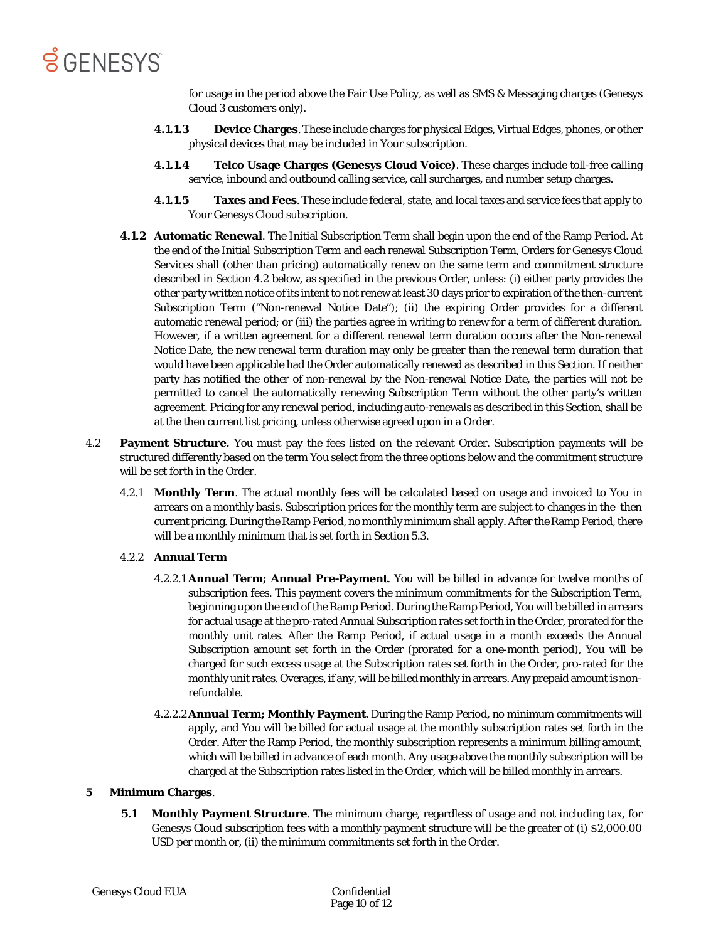

for usage in the period above the Fair Use Policy, as well as SMS & Messaging charges (Genesys Cloud 3 customers only).

- **4.1.1.3 Device Charges**. These include charges for physical Edges, Virtual Edges, phones, or other physical devices that may be included in Your subscription.
- **4.1.1.4 Telco Usage Charges (Genesys Cloud Voice)**. These charges include toll-free calling service, inbound and outbound calling service, call surcharges, and number setup charges.
- **4.1.1.5 Taxes and Fees**. These include federal, state, and local taxes and service fees that apply to Your Genesys Cloud subscription.
- **4.1.2 Automatic Renewal**. The Initial Subscription Term shall begin upon the end of the Ramp Period. At the end of the Initial Subscription Term and each renewal Subscription Term, Orders for Genesys Cloud Services shall (other than pricing) automatically renew on the same term and commitment structure described in Section 4.2 below, as specified in the previous Order, unless: (i) either party provides the other party written notice of its intent to not renew at least 30 days prior to expiration of the then-current Subscription Term ("Non-renewal Notice Date"); (ii) the expiring Order provides for a different automatic renewal period; or (iii) the parties agree in writing to renew for a term of different duration. However, if a written agreement for a different renewal term duration occurs after the Non-renewal Notice Date, the new renewal term duration may only be greater than the renewal term duration that would have been applicable had the Order automatically renewed as described in this Section. If neither party has notified the other of non-renewal by the Non-renewal Notice Date, the parties will not be permitted to cancel the automatically renewing Subscription Term without the other party's written agreement. Pricing for any renewal period, including auto-renewals as described in this Section, shall be at the then current list pricing, unless otherwise agreed upon in a Order.
- 4.2 **Payment Structure.** You must pay the fees listed on the relevant Order. Subscription payments will be structured differently based on the term You select from the three options below and the commitment structure will be set forth in the Order.
	- 4.2.1 **Monthly Term**. The actual monthly fees will be calculated based on usage and invoiced to You in arrears on a monthly basis. Subscription prices for the monthly term are subject to changes in the then current pricing. During the Ramp Period, no monthly minimum shall apply. After the Ramp Period, there will be a monthly minimum that is set forth in Section 5.3.

#### 4.2.2 **Annual Term**

- 4.2.2.1 **Annual Term; Annual Pre-Payment**. You will be billed in advance for twelve months of subscription fees. This payment covers the minimum commitments for the Subscription Term, beginning upon the end of the Ramp Period. During the Ramp Period, You will be billed in arrears for actual usage at the pro-rated Annual Subscription rates set forth in the Order, prorated for the monthly unit rates. After the Ramp Period, if actual usage in a month exceeds the Annual Subscription amount set forth in the Order (prorated for a one-month period), You will be charged for such excess usage at the Subscription rates set forth in the Order, pro-rated for the monthly unit rates. Overages, if any, will be billed monthly in arrears. Any prepaid amount is nonrefundable.
- 4.2.2.2**Annual Term; Monthly Payment**. During the Ramp Period, no minimum commitments will apply, and You will be billed for actual usage at the monthly subscription rates set forth in the Order. After the Ramp Period, the monthly subscription represents a minimum billing amount, which will be billed in advance of each month. Any usage above the monthly subscription will be charged at the Subscription rates listed in the Order, which will be billed monthly in arrears.

#### **5 Minimum Charges**.

**5.1 Monthly Payment Structure**. The minimum charge, regardless of usage and not including tax, for Genesys Cloud subscription fees with a monthly payment structure will be the greater of (i) \$2,000.00 USD per month or, (ii) the minimum commitments set forth in the Order.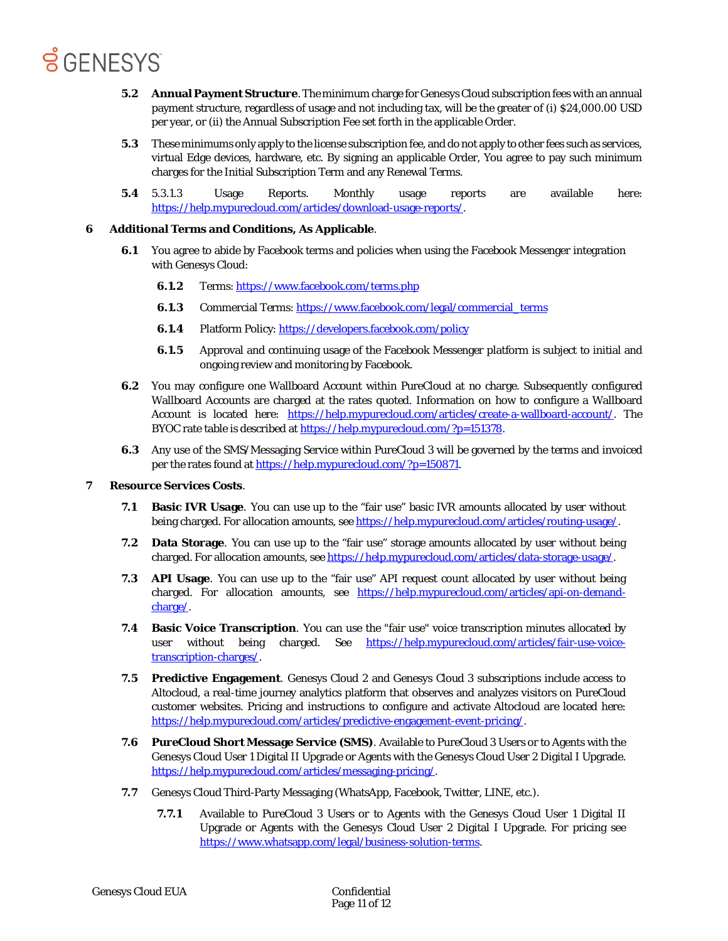- **5.2 Annual Payment Structure**. The minimum charge for Genesys Cloud subscription fees with an annual payment structure, regardless of usage and not including tax, will be the greater of (i) \$24,000.00 USD per year, or (ii) the Annual Subscription Fee set forth in the applicable Order.
- **5.3** These minimums only apply to the license subscription fee, and do not apply to other fees such as services, virtual Edge devices, hardware, etc. By signing an applicable Order, You agree to pay such minimum charges for the Initial Subscription Term and any Renewal Terms.
- **5.4** 5.3.1.3 Usage Reports. Monthly usage reports are available here: [https://help.mypurecloud.com/articles/download-usage-reports/.](https://help.mypurecloud.com/articles/download-usage-reports/)

#### **6 Additional Terms and Conditions, As Applicable**.

- **6.1** You agree to abide by Facebook terms and policies when using the Facebook Messenger integration with Genesys Cloud:
	- **6.1.2** Terms[: https://www.facebook.com/terms.php](https://www.facebook.com/terms.php)
	- **6.1.3** Commercial Terms: [https://www.facebook.com/legal/commercial\\_terms](https://www.facebook.com/legal/commercial_terms)
	- **6.1.4** Platform Policy[: https://developers.facebook.com/policy](https://developers.facebook.com/policy)
	- **6.1.5** Approval and continuing usage of the Facebook Messenger platform is subject to initial and ongoing review and monitoring by Facebook.
- **6.2** You may configure one Wallboard Account within PureCloud at no charge. Subsequently configured Wallboard Accounts are charged at the rates quoted. Information on how to configure a Wallboard Account is located here: [https://help.mypurecloud.com/articles/create-a-wallboard-account/.](https://help.mypurecloud.com/articles/create-a-wallboard-account/) The BYOC rate table is described a[t https://help.mypurecloud.com/?p=151378.](https://help.mypurecloud.com/?p=151378)
- **6.3** Any use of the SMS/Messaging Service within PureCloud 3 will be governed by the terms and invoiced per the rates found at [https://help.mypurecloud.com/?p=150871.](https://help.mypurecloud.com/?p=150871)

#### **7 Resource Services Costs**.

- **7.1 Basic IVR Usage**. You can use up to the "fair use" basic IVR amounts allocated by user without being charged. For allocation amounts, se[e https://help.mypurecloud.com/articles/routing-usage/.](https://help.mypurecloud.com/articles/routing-usage/)
- **7.2 Data Storage**. You can use up to the "fair use" storage amounts allocated by user without being charged. For allocation amounts, see [https://help.mypurecloud.com/articles/data-storage-usage/.](https://help.mypurecloud.com/articles/data-storage-usage/)
- **7.3 API Usage**. You can use up to the "fair use" API request count allocated by user without being charged. For allocation amounts, see [https://help.mypurecloud.com/articles/api-on-demand](https://help.mypurecloud.com/articles/api-on-demand-charge/)[charge/.](https://help.mypurecloud.com/articles/api-on-demand-charge/)
- **7.4 Basic Voice Transcription**. You can use the "fair use" voice transcription minutes allocated by user without being charged. See [https://help.mypurecloud.com/articles/fair-use-voice](https://help.mypurecloud.com/articles/fair-use-voice-transcription-charges/)[transcription-charges/.](https://help.mypurecloud.com/articles/fair-use-voice-transcription-charges/)
- **7.5 Predictive Engagement**. Genesys Cloud 2 and Genesys Cloud 3 subscriptions include access to Altocloud, a real-time journey analytics platform that observes and analyzes visitors on PureCloud customer websites. Pricing and instructions to configure and activate Altocloud are located here: [https://help.mypurecloud.com/articles/predictive-engagement-event-pricing/.](https://help.mypurecloud.com/articles/predictive-engagement-event-pricing/)
- **7.6 PureCloud Short Message Service (SMS)**. Available to PureCloud 3 Users or to Agents with the Genesys Cloud User 1 Digital II Upgrade or Agents with the Genesys Cloud User 2 Digital I Upgrade. [https://help.mypurecloud.com/articles/messaging-pricing/.](https://help.mypurecloud.com/articles/messaging-pricing/)
- **7.7** Genesys Cloud Third-Party Messaging (WhatsApp, Facebook, Twitter, LINE, etc.).
	- **7.7.1** Available to PureCloud 3 Users or to Agents with the Genesys Cloud User 1 Digital II Upgrade or Agents with the Genesys Cloud User 2 Digital I Upgrade. For pricing see [https://www.whatsapp.com/legal/business-solution-terms.](https://www.whatsapp.com/legal/business-solution-terms)